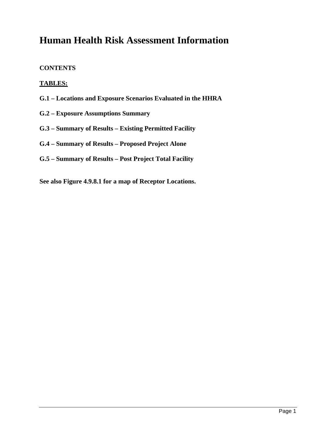# **Human Health Risk Assessment Information**

### **CONTENTS**

### **TABLES:**

- **G.1 Locations and Exposure Scenarios Evaluated in the HHRA**
- **G.2 Exposure Assumptions Summary**
- **G.3 Summary of Results Existing Permitted Facility**
- **G.4 Summary of Results Proposed Project Alone**
- **G.5 Summary of Results Post Project Total Facility**
- **See also Figure 4.9.8.1 for a map of Receptor Locations.**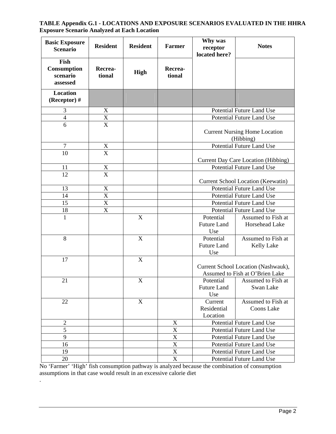#### **TABLE Appendix G.1 - LOCATIONS AND EXPOSURE SCENARIOS EVALUATED IN THE HHRA Exposure Scenario Analyzed at Each Location**

| <b>Basic Exposure</b><br><b>Scenario</b>    | <b>Resident</b>       | <b>Resident</b> | <b>Farmer</b>             | Why was<br>receptor<br>located here?                                   | <b>Notes</b>                                      |
|---------------------------------------------|-----------------------|-----------------|---------------------------|------------------------------------------------------------------------|---------------------------------------------------|
| Fish<br>Consumption<br>scenario<br>assessed | Recrea-<br>tional     | <b>High</b>     | Recrea-<br>tional         |                                                                        |                                                   |
| <b>Location</b><br>(Receptor)#              |                       |                 |                           |                                                                        |                                                   |
| 3                                           | X                     |                 |                           |                                                                        | <b>Potential Future Land Use</b>                  |
| $\overline{4}$                              | $\mathbf X$           |                 |                           |                                                                        | Potential Future Land Use                         |
| 6                                           | $\overline{\text{X}}$ |                 |                           |                                                                        |                                                   |
|                                             |                       |                 |                           |                                                                        | <b>Current Nursing Home Location</b><br>(Hibbing) |
| $\overline{7}$                              |                       |                 |                           |                                                                        | Potential Future Land Use                         |
| 10                                          | $\frac{X}{X}$         |                 |                           |                                                                        | <b>Current Day Care Location (Hibbing)</b>        |
| 11                                          | $\mathbf X$           |                 |                           |                                                                        | Potential Future Land Use                         |
| 12                                          | X                     |                 |                           |                                                                        | <b>Current School Location (Keewatin)</b>         |
| 13                                          | $\mathbf X$           |                 |                           |                                                                        | <b>Potential Future Land Use</b>                  |
| 14                                          | $\overline{\text{X}}$ |                 |                           | <b>Potential Future Land Use</b>                                       |                                                   |
| 15                                          | $\mathbf X$           |                 |                           | Potential Future Land Use                                              |                                                   |
| 18                                          | $\overline{X}$        |                 |                           | <b>Potential Future Land Use</b>                                       |                                                   |
| $\mathbf{1}$                                |                       | X               |                           | Potential                                                              |                                                   |
|                                             |                       |                 |                           | <b>Future Land</b><br>Use                                              | Assumed to Fish at<br>Horsehead Lake              |
| $8\,$                                       |                       | $\mathbf X$     |                           | Potential<br><b>Future Land</b><br>Use                                 | Assumed to Fish at<br><b>Kelly Lake</b>           |
| 17                                          |                       | X               |                           | Current School Location (Nashwauk),<br>Assumed to Fish at O'Brien Lake |                                                   |
| 21                                          |                       | X               |                           | Potential<br><b>Future Land</b><br>Use                                 | Assumed to Fish at<br>Swan Lake                   |
| 22                                          |                       | X               |                           | Current<br>Residential<br>Location                                     | Assumed to Fish at<br>Coons Lake                  |
| $\overline{2}$                              |                       |                 | $\mathbf X$               |                                                                        | Potential Future Land Use                         |
| $\overline{5}$                              |                       |                 | $\mathbf X$               |                                                                        | Potential Future Land Use                         |
| 9                                           |                       |                 | $\overline{\text{X}}$     |                                                                        | <b>Potential Future Land Use</b>                  |
| 16                                          |                       |                 | $\mathbf X$               |                                                                        | Potential Future Land Use                         |
| 19                                          |                       |                 | $\mathbf X$               |                                                                        | Potential Future Land Use                         |
| 20                                          |                       |                 | $\boldsymbol{\mathrm{X}}$ |                                                                        | Potential Future Land Use                         |

No 'Farmer' 'High' fish consumption pathway is analyzed because the combination of consumption assumptions in that case would result in an excessive calorie diet

.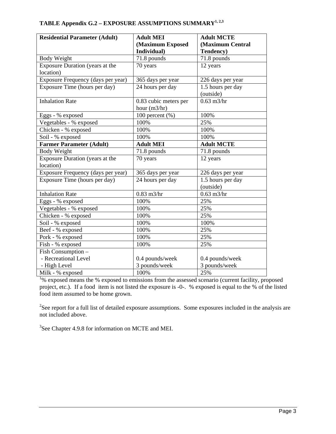| <b>Residential Parameter (Adult)</b> | <b>Adult MEI</b>      | <b>Adult MCTE</b> |  |
|--------------------------------------|-----------------------|-------------------|--|
|                                      | (Maximum Exposed      | (Maximum Central  |  |
|                                      | Individual)           | Tendency)         |  |
| Body Weight                          | 71.8 pounds           | 71.8 pounds       |  |
| Exposure Duration (years at the      | 70 years              | 12 years          |  |
| location)                            |                       |                   |  |
| Exposure Frequency (days per year)   | 365 days per year     | 226 days per year |  |
| Exposure Time (hours per day)        | 24 hours per day      | 1.5 hours per day |  |
|                                      |                       | (outside)         |  |
| <b>Inhalation Rate</b>               | 0.83 cubic meters per | $0.63$ m $3$ /hr  |  |
|                                      | hour $(m3/hr)$        |                   |  |
| Eggs - % exposed                     | 100 percent (%)       | 100%              |  |
| Vegetables - % exposed               | 100%                  | 25%               |  |
| Chicken - % exposed                  | 100%                  | 100%              |  |
| Soil - % exposed                     | 100%                  | 100%              |  |
| <b>Farmer Parameter (Adult)</b>      | <b>Adult MEI</b>      | <b>Adult MCTE</b> |  |
| <b>Body Weight</b>                   | 71.8 pounds           | 71.8 pounds       |  |
| Exposure Duration (years at the      | 70 years              | 12 years          |  |
| location)                            |                       |                   |  |
| Exposure Frequency (days per year)   | 365 days per year     | 226 days per year |  |
| Exposure Time (hours per day)        | 24 hours per day      | 1.5 hours per day |  |
|                                      |                       | (outside)         |  |
| <b>Inhalation Rate</b>               | $0.83$ m $3$ /hr      | $0.63$ m $3$ /hr  |  |
| Eggs - % exposed                     | 100%                  | 25%               |  |
| Vegetables - % exposed               | 100%                  | 25%               |  |
| Chicken - % exposed                  | 100%                  | 25%               |  |
| Soil - % exposed                     | 100%                  | 100%              |  |
| Beef - % exposed                     | 100%                  | 25%               |  |
| Pork - % exposed                     | 100%                  | 25%               |  |
| Fish - % exposed                     | 100%                  | 25%               |  |
| Fish Consumption -                   |                       |                   |  |
| - Recreational Level                 | 0.4 pounds/week       | 0.4 pounds/week   |  |
| - High Level                         | 3 pounds/week         | 3 pounds/week     |  |
| Milk - % exposed                     | 100%                  | 25%               |  |

### TABLE Appendix G.2 - EXPOSURE ASSUMPTIONS SUMMARY<sup>1, 2,3</sup>

<sup>1</sup>% exposed means the % exposed to emissions from the assessed scenario (current facility, proposed project, etc.). If a food item is not listed the exposure is -0-. % exposed is equal to the % of the listed food item assumed to be home grown.

 $2$ See report for a full list of detailed exposure assumptions. Some exposures included in the analysis are not included above.

<sup>3</sup>See Chapter 4.9.8 for information on MCTE and MEI.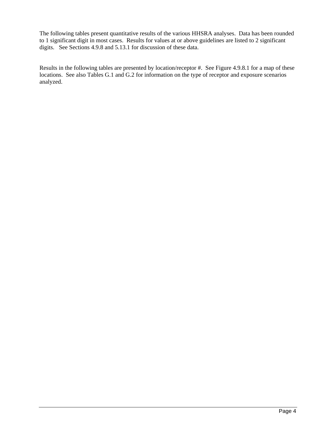The following tables present quantitative results of the various HHSRA analyses. Data has been rounded to 1 significant digit in most cases. Results for values at or above guidelines are listed to 2 significant digits. See Sections 4.9.8 and 5.13.1 for discussion of these data.

Results in the following tables are presented by location/receptor #. See Figure 4.9.8.1 for a map of these locations. See also Tables G.1 and G.2 for information on the type of receptor and exposure scenarios analyzed.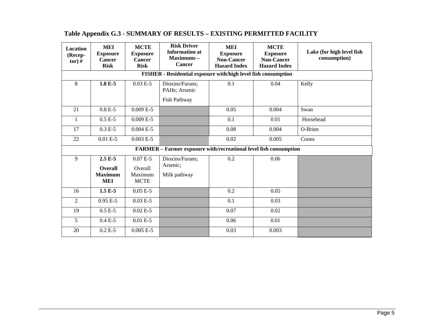| <b>Location</b><br>(Recep-<br>$tor)$ # | <b>MEI</b><br><b>Exposure</b><br>Cancer<br><b>Risk</b>         | <b>MCTE</b><br><b>Exposure</b><br>Cancer<br><b>Risk</b> | <b>Risk Driver</b><br><b>Information</b> at<br>Maximums-<br><b>Cancer</b> | <b>MEI</b><br><b>Exposure</b><br><b>Non-Cancer</b><br><b>Hazard Index</b> | <b>MCTE</b><br><b>Exposure</b><br><b>Non-Cancer</b><br><b>Hazard Index</b> | Lake (for high level fish<br>consumption) |  |  |  |  |
|----------------------------------------|----------------------------------------------------------------|---------------------------------------------------------|---------------------------------------------------------------------------|---------------------------------------------------------------------------|----------------------------------------------------------------------------|-------------------------------------------|--|--|--|--|
|                                        | FISHER - Residential exposure with/high level fish consumption |                                                         |                                                                           |                                                                           |                                                                            |                                           |  |  |  |  |
| 8                                      | $1.8 E-5$                                                      | $0.03 E-5$                                              | Dioxins/Furans;<br>PAHs; Arsenic<br>Fish Pathway                          | 0.1                                                                       | 0.04                                                                       | Kelly                                     |  |  |  |  |
| 21                                     | $0.8 E-5$                                                      | $0.009 E-5$                                             |                                                                           | 0.05                                                                      | 0.004                                                                      | Swan                                      |  |  |  |  |
| 1                                      | $0.5 E-5$                                                      | $0.009 E-5$                                             |                                                                           | 0.1                                                                       | 0.01                                                                       | Horsehead                                 |  |  |  |  |
| 17                                     | $0.3 E-5$                                                      | $0.004 E-5$                                             |                                                                           | 0.08                                                                      | 0.004                                                                      | O-Brien                                   |  |  |  |  |
| 22                                     | $0.01 E-5$                                                     | $0.003 E-5$                                             |                                                                           | 0.02                                                                      | 0.005                                                                      | Coons                                     |  |  |  |  |
|                                        |                                                                |                                                         | FARMER - Farmer exposure with/recreational level fish consumption         |                                                                           |                                                                            |                                           |  |  |  |  |
| 9                                      | $2.5E-5$<br><b>Overall</b><br><b>Maximum</b><br><b>MEI</b>     | $0.07E - 5$<br>Overall<br>Maximum<br><b>MCTE</b>        | Dioxins/Furans;<br>Arsenic;<br>Milk pathway                               | 0.2                                                                       | 0.06                                                                       |                                           |  |  |  |  |
| 16                                     | $1.5 E-5$                                                      | $0.05 E-5$                                              |                                                                           | 0.2                                                                       | 0.05                                                                       |                                           |  |  |  |  |
| $\overline{2}$                         | $0.95E - 5$                                                    | $0.03 E-5$                                              |                                                                           | 0.1                                                                       | 0.03                                                                       |                                           |  |  |  |  |
| 19                                     | $0.5 E-5$                                                      | $0.02 E-5$                                              |                                                                           | 0.07                                                                      | 0.02                                                                       |                                           |  |  |  |  |
| 5                                      | $0.4 E-5$                                                      | $0.01 E-5$                                              |                                                                           | 0.06                                                                      | 0.01                                                                       |                                           |  |  |  |  |
| 20                                     | $0.2 E-5$                                                      | $0.005 E-5$                                             |                                                                           | 0.03                                                                      | 0.003                                                                      |                                           |  |  |  |  |

## **Table Appendix G.3 - SUMMARY OF RESULTS – EXISTING PERMITTED FACILITY**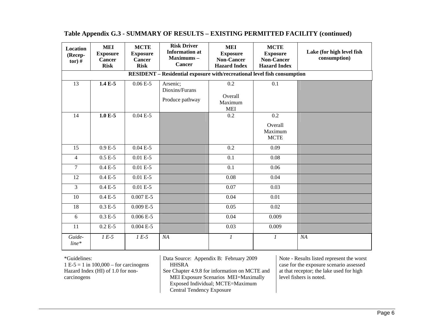| Location<br>(Recep-<br>$tor)$ # | <b>MEI</b><br><b>Exposure</b><br><b>Cancer</b><br><b>Risk</b> | <b>MCTE</b><br><b>Exposure</b><br><b>Cancer</b><br><b>Risk</b> | <b>Risk Driver</b><br><b>Information</b> at<br>Maximums-<br><b>Cancer</b> | <b>MEI</b><br><b>Exposure</b><br><b>Non-Cancer</b><br><b>Hazard Index</b> | <b>MCTE</b><br><b>Exposure</b><br><b>Non-Cancer</b><br><b>Hazard Index</b> | Lake (for high level fish<br>consumption) |
|---------------------------------|---------------------------------------------------------------|----------------------------------------------------------------|---------------------------------------------------------------------------|---------------------------------------------------------------------------|----------------------------------------------------------------------------|-------------------------------------------|
|                                 |                                                               |                                                                | RESIDENT - Residential exposure with/recreational level fish consumption  |                                                                           |                                                                            |                                           |
| $\overline{13}$                 | $1.4 E-5$                                                     | $0.06E - 5$                                                    | Arsenic;<br>Dioxins/Furans<br>Produce pathway                             | 0.2<br>Overall<br>Maximum<br><b>MEI</b>                                   | $\overline{0.1}$                                                           |                                           |
| 14                              | $1.0 E-5$                                                     | $0.04E - 5$                                                    |                                                                           | 0.2                                                                       | 0.2<br>Overall<br>Maximum<br><b>MCTE</b>                                   |                                           |
| 15                              | $0.9E - 5$                                                    | $0.04 E-5$                                                     |                                                                           | 0.2                                                                       | 0.09                                                                       |                                           |
| $\overline{4}$                  | $0.5 E-5$                                                     | $0.01 E-5$                                                     |                                                                           | 0.1                                                                       | 0.08                                                                       |                                           |
| $\tau$                          | $0.4 E-5$                                                     | $0.01 E-5$                                                     |                                                                           | 0.1                                                                       | 0.06                                                                       |                                           |
| 12                              | $0.4 E-5$                                                     | $0.01 E-5$                                                     |                                                                           | 0.08                                                                      | 0.04                                                                       |                                           |
| 3                               | $0.4 E-5$                                                     | $0.01 E-5$                                                     |                                                                           | 0.07                                                                      | 0.03                                                                       |                                           |
| 10                              | $0.4 E-5$                                                     | $0.007 E-5$                                                    |                                                                           | 0.04                                                                      | 0.01                                                                       |                                           |
| 18                              | $0.3 E-5$                                                     | $0.009 E-5$                                                    |                                                                           | 0.05                                                                      | 0.02                                                                       |                                           |
| 6                               | $0.3 E-5$                                                     | $0.006E - 5$                                                   |                                                                           | 0.04                                                                      | 0.009                                                                      |                                           |
| 11                              | $0.2 E-5$                                                     | $0.004 E-5$                                                    |                                                                           | 0.03                                                                      | 0.009                                                                      |                                           |
| Guide-<br>$line*$               | $1 E-5$                                                       | $1 E-5$                                                        | NA                                                                        | $\boldsymbol{l}$                                                          | $\boldsymbol{l}$                                                           | NA                                        |

#### **Table Appendix G.3 - SUMMARY OF RESULTS – EXISTING PERMITTED FACILITY (continued)**

#### \*Guidelines:

 $1 E-5 = 1$  in  $100,000 -$  for carcinogens Hazard Index (HI) of 1.0 for noncarcinogens

Data Source: Appendix B: February 2009 HHSRA See Chapter 4.9.8 for information on MCTE and MEI Exposure Scenarios MEI=Maximally Exposed Individual; MCTE=Maximum Central Tendency Exposure

Note - Results listed represent the worst case for the exposure scenario assessed at that receptor; the lake used for high level fishers is noted.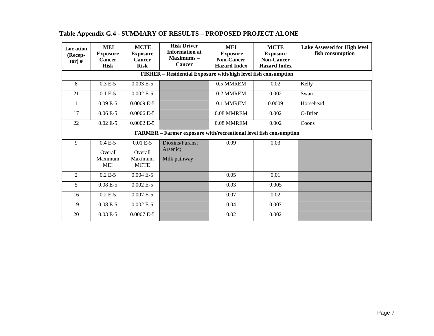| Loc ation<br>(Recep-<br>$tor)$ # | <b>MEI</b><br><b>Exposure</b><br><b>Cancer</b><br><b>Risk</b> | <b>MCTE</b><br><b>Exposure</b><br><b>Cancer</b><br><b>Risk</b> | <b>Risk Driver</b><br><b>Information at</b><br>Maximums-<br><b>Cancer</b> | <b>MEI</b><br><b>Exposure</b><br><b>Non-Cancer</b><br><b>Hazard Index</b> | <b>MCTE</b><br><b>Exposure</b><br><b>Non-Cancer</b><br><b>Hazard Index</b> | <b>Lake Assessed for High level</b><br>fish consumption |
|----------------------------------|---------------------------------------------------------------|----------------------------------------------------------------|---------------------------------------------------------------------------|---------------------------------------------------------------------------|----------------------------------------------------------------------------|---------------------------------------------------------|
|                                  |                                                               |                                                                | FISHER - Residential Exposure with/high level fish consumption            |                                                                           |                                                                            |                                                         |
| 8                                | $0.3 E-5$                                                     | $0.003 E-5$                                                    |                                                                           | 0.5 MMREM                                                                 | 0.02                                                                       | Kelly                                                   |
| 21                               | $0.1 E-5$                                                     | $0.002 E-5$                                                    |                                                                           | 0.2 MMREM                                                                 | 0.002                                                                      | Swan                                                    |
| $\mathbf{1}$                     | $0.09E - 5$                                                   | $0.0009 E-5$                                                   |                                                                           | 0.1 MMREM                                                                 | 0.0009                                                                     | Horsehead                                               |
| 17                               | $\overline{0.06}$ E-5                                         | $0.0006 E-5$                                                   |                                                                           | 0.08 MMREM                                                                | 0.002                                                                      | O-Brien                                                 |
| 22                               | $0.02 E-5$                                                    | $0.0002 E-5$                                                   |                                                                           | 0.08 MMREM                                                                | 0.002                                                                      | Coons                                                   |
|                                  |                                                               |                                                                | FARMER - Farmer exposure with/recreational level fish consumption         |                                                                           |                                                                            |                                                         |
| 9                                | $0.4E - 5$<br>Overall<br>Maximum<br>MEI                       | $0.01 E-5$<br>Overall<br>Maximum<br><b>MCTE</b>                | Dioxins/Furans;<br>Arsenic:<br>Milk pathway                               | 0.09                                                                      | 0.03                                                                       |                                                         |
| $\overline{2}$                   | $0.2 E-5$                                                     | $0.004 E-5$                                                    |                                                                           | 0.05                                                                      | 0.01                                                                       |                                                         |
| 5                                | $0.08E - 5$                                                   | $0.002 E-5$                                                    |                                                                           | 0.03                                                                      | 0.005                                                                      |                                                         |
| 16                               | $0.2 E-5$                                                     | $0.007 E-5$                                                    |                                                                           | 0.07                                                                      | 0.02                                                                       |                                                         |
| 19                               | $0.08E - 5$                                                   | $0.002 E-5$                                                    |                                                                           | 0.04                                                                      | 0.007                                                                      |                                                         |
| 20                               | $0.03 E-5$                                                    | $0.0007 E-5$                                                   |                                                                           | 0.02                                                                      | 0.002                                                                      |                                                         |

## **Table Appendix G.4 - SUMMARY OF RESULTS – PROPOSED PROJECT ALONE**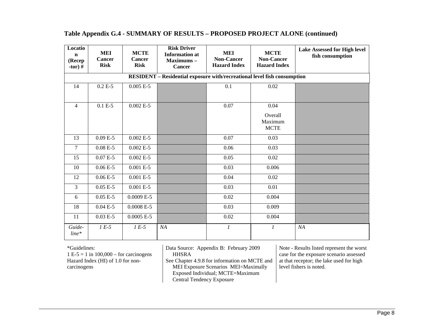| Locatio<br>$\mathbf n$<br>(Recep<br>-tor) $#$ | MEI<br><b>Cancer</b><br><b>Risk</b>                                      | <b>MCTE</b><br><b>Cancer</b><br><b>Risk</b> | <b>Risk Driver</b><br><b>Information</b> at<br>Maximums-<br><b>Cancer</b> | <b>MEI</b><br><b>Non-Cancer</b><br><b>Hazard Index</b> | <b>MCTE</b><br><b>Non-Cancer</b><br><b>Hazard Index</b> | <b>Lake Assessed for High level</b><br>fish consumption |  |  |  |  |
|-----------------------------------------------|--------------------------------------------------------------------------|---------------------------------------------|---------------------------------------------------------------------------|--------------------------------------------------------|---------------------------------------------------------|---------------------------------------------------------|--|--|--|--|
|                                               | RESIDENT - Residential exposure with/recreational level fish consumption |                                             |                                                                           |                                                        |                                                         |                                                         |  |  |  |  |
| 14                                            | $0.2 E-5$                                                                | $0.005 E-5$                                 |                                                                           | 0.1                                                    | $\overline{0.02}$                                       |                                                         |  |  |  |  |
| $\overline{4}$                                | $0.1 E-5$                                                                | $0.002 E-5$                                 |                                                                           | 0.07                                                   | 0.04<br>Overall<br>Maximum<br><b>MCTE</b>               |                                                         |  |  |  |  |
| 13                                            | $0.09 E - 5$                                                             | $0.002 E-5$                                 |                                                                           | 0.07                                                   | 0.03                                                    |                                                         |  |  |  |  |
| $\overline{7}$                                | $0.08E - 5$                                                              | $0.002 E-5$                                 |                                                                           | 0.06                                                   | 0.03                                                    |                                                         |  |  |  |  |
| 15                                            | $0.07E - 5$                                                              | $0.002 E-5$                                 |                                                                           | 0.05                                                   | 0.02                                                    |                                                         |  |  |  |  |
| 10                                            | $0.06E - 5$                                                              | $0.001 E-5$                                 |                                                                           | 0.03                                                   | 0.006                                                   |                                                         |  |  |  |  |
| 12                                            | $0.06E - 5$                                                              | $0.001 E-5$                                 |                                                                           | 0.04                                                   | 0.02                                                    |                                                         |  |  |  |  |
| $\overline{3}$                                | $0.05 E-5$                                                               | $0.001 E-5$                                 |                                                                           | 0.03                                                   | 0.01                                                    |                                                         |  |  |  |  |
| 6                                             | $0.05 E-5$                                                               | $0.0009 E-5$                                |                                                                           | 0.02                                                   | 0.004                                                   |                                                         |  |  |  |  |
| 18                                            | $0.04 E-5$                                                               | $0.0008 E-5$                                |                                                                           | 0.03                                                   | 0.009                                                   |                                                         |  |  |  |  |
| 11                                            | $0.03 E-5$                                                               | $0.0005 E-5$                                |                                                                           | 0.02                                                   | 0.004                                                   |                                                         |  |  |  |  |
| Guide-<br>$line*$                             | $1 E-5$                                                                  | $1 E-5$                                     | NA                                                                        | $\boldsymbol{l}$                                       | 1                                                       | NA                                                      |  |  |  |  |

#### **Table Appendix G.4 - SUMMARY OF RESULTS – PROPOSED PROJECT ALONE (continued)**

\*Guidelines:

 $1 E-5 = 1$  in  $100,000 -$  for carcinogens Hazard Index (HI) of 1.0 for noncarcinogens

Data Source: Appendix B: February 2009 HHSRA

See Chapter 4.9.8 for information on MCTE and MEI Exposure Scenarios MEI=Maximally Exposed Individual; MCTE=Maximum Central Tendency Exposure

Note - Results listed represent the worst case for the exposure scenario assessed at that receptor; the lake used for high level fishers is noted.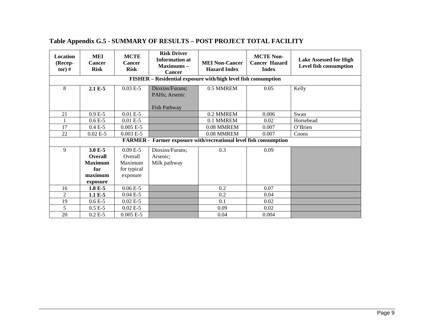| Location<br>(Recep-<br>$tor)$ # | MEI<br><b>Cancer</b><br><b>Risk</b>                                | <b>MCTE</b><br>Cancer<br><b>Risk</b>                         | <b>Risk Driver</b><br><b>Information at</b><br>$Maximum -$<br><b>Cancer</b> | <b>MEI Non-Cancer</b><br><b>Hazard Index</b> | <b>MCTE Non-</b><br><b>Cancer Hazard</b><br><b>Index</b> | <b>Lake Assessed for High</b><br>Level fish consumption |  |  |  |  |
|---------------------------------|--------------------------------------------------------------------|--------------------------------------------------------------|-----------------------------------------------------------------------------|----------------------------------------------|----------------------------------------------------------|---------------------------------------------------------|--|--|--|--|
|                                 | FISHER - Residential exposure with/high level fish consumption     |                                                              |                                                                             |                                              |                                                          |                                                         |  |  |  |  |
| 8                               | 2.1 E-5                                                            | $0.03 E-5$                                                   | Dioxins/Furans;<br>PAHs; Arsenic<br>Fish Pathway                            | 0.5 MMREM                                    | 0.05                                                     | Kelly                                                   |  |  |  |  |
| 21                              | $0.9E - 5$                                                         | $0.01 E-5$                                                   |                                                                             | 0.2 MMREM                                    | 0.006                                                    | Swan                                                    |  |  |  |  |
|                                 | $0.6E - 5$                                                         | $0.01 E-5$                                                   |                                                                             | 0.1 MMREM                                    | 0.02                                                     | Horsehead                                               |  |  |  |  |
| 17                              | $0.4 E-5$                                                          | $0.005 E-5$                                                  |                                                                             | 0.08 MMREM                                   | 0.007                                                    | O'Brien                                                 |  |  |  |  |
| 22                              | $0.02 E-5$                                                         | $0.003 E-5$                                                  |                                                                             | 0.08 MMREM                                   | 0.007                                                    | Coons                                                   |  |  |  |  |
|                                 |                                                                    |                                                              | <b>FARMER</b> - Farmer exposure with/recreational level fish consumption    |                                              |                                                          |                                                         |  |  |  |  |
| 9                               | 3.0 E-5<br>Overall<br><b>Maximum</b><br>for<br>maximum<br>exposure | $0.09E - 5$<br>Overall<br>Maximum<br>for typical<br>exposure | Dioxins/Furans;<br>Arsenic;<br>Milk pathway                                 | 0.3                                          | 0.09                                                     |                                                         |  |  |  |  |
| 16                              | 1.8 E-5                                                            | $0.06E - 5$                                                  |                                                                             | 0.2                                          | 0.07                                                     |                                                         |  |  |  |  |
| $\overline{2}$                  | 1.1 E-5                                                            | $0.04 E-5$                                                   |                                                                             | 0.2                                          | 0.04                                                     |                                                         |  |  |  |  |
| 19                              | $0.6E - 5$                                                         | $0.02 E-5$                                                   |                                                                             | 0.1                                          | 0.02                                                     |                                                         |  |  |  |  |
| 5                               | $0.5 E-5$                                                          | $0.02 E-5$                                                   |                                                                             | 0.09                                         | 0.02                                                     |                                                         |  |  |  |  |
| 20                              | $0.2 E-5$                                                          | $0.005 E-5$                                                  |                                                                             | 0.04                                         | 0.004                                                    |                                                         |  |  |  |  |

# **Table Appendix G.5 - SUMMARY OF RESULTS – POST PROJECT TOTAL FACILITY**